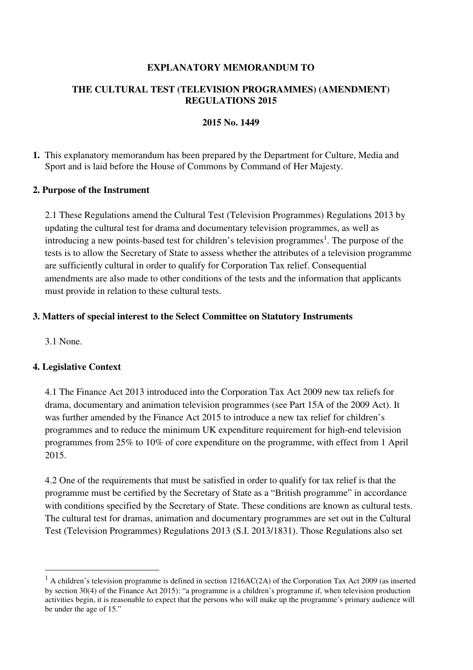#### **EXPLANATORY MEMORANDUM TO**

### **THE CULTURAL TEST (TELEVISION PROGRAMMES) (AMENDMENT) REGULATIONS 2015**

#### **2015 No. 1449**

### **1.** This explanatory memorandum has been prepared by the Department for Culture, Media and Sport and is laid before the House of Commons by Command of Her Majesty.

### **2. Purpose of the Instrument**

2.1 These Regulations amend the Cultural Test (Television Programmes) Regulations 2013 by updating the cultural test for drama and documentary television programmes, as well as introducing a new points-based test for children's television programmes<sup>1</sup>. The purpose of the tests is to allow the Secretary of State to assess whether the attributes of a television programme are sufficiently cultural in order to qualify for Corporation Tax relief. Consequential amendments are also made to other conditions of the tests and the information that applicants must provide in relation to these cultural tests.

### **3. Matters of special interest to the Select Committee on Statutory Instruments**

3.1 None.

 $\overline{\phantom{0}}$ 

#### **4. Legislative Context**

4.1 The Finance Act 2013 introduced into the Corporation Tax Act 2009 new tax reliefs for drama, documentary and animation television programmes (see Part 15A of the 2009 Act). It was further amended by the Finance Act 2015 to introduce a new tax relief for children's programmes and to reduce the minimum UK expenditure requirement for high-end television programmes from 25% to 10% of core expenditure on the programme, with effect from 1 April 2015.

4.2 One of the requirements that must be satisfied in order to qualify for tax relief is that the programme must be certified by the Secretary of State as a "British programme" in accordance with conditions specified by the Secretary of State. These conditions are known as cultural tests. The cultural test for dramas, animation and documentary programmes are set out in the Cultural Test (Television Programmes) Regulations 2013 (S.I. 2013/1831). Those Regulations also set

 $<sup>1</sup>$  A children's television programme is defined in section 1216AC(2A) of the Corporation Tax Act 2009 (as inserted</sup> by section 30(4) of the Finance Act 2015): "a programme is a children's programme if, when television production activities begin, it is reasonable to expect that the persons who will make up the programme's primary audience will be under the age of 15."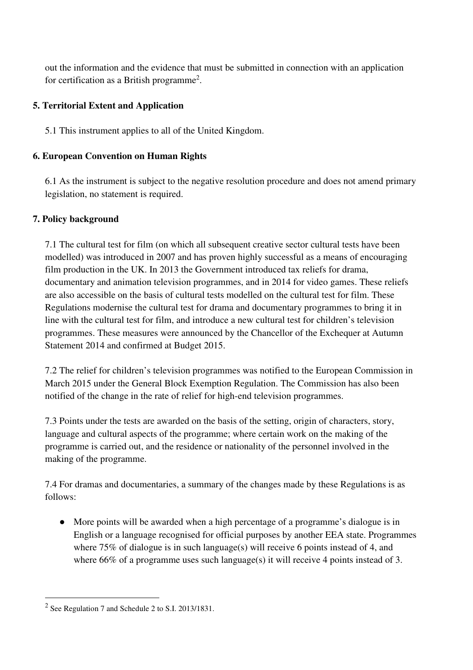out the information and the evidence that must be submitted in connection with an application for certification as a British programme<sup>2</sup>.

## **5. Territorial Extent and Application**

5.1 This instrument applies to all of the United Kingdom.

# **6. European Convention on Human Rights**

6.1 As the instrument is subject to the negative resolution procedure and does not amend primary legislation, no statement is required.

# **7. Policy background**

7.1 The cultural test for film (on which all subsequent creative sector cultural tests have been modelled) was introduced in 2007 and has proven highly successful as a means of encouraging film production in the UK. In 2013 the Government introduced tax reliefs for drama, documentary and animation television programmes, and in 2014 for video games. These reliefs are also accessible on the basis of cultural tests modelled on the cultural test for film. These Regulations modernise the cultural test for drama and documentary programmes to bring it in line with the cultural test for film, and introduce a new cultural test for children's television programmes. These measures were announced by the Chancellor of the Exchequer at Autumn Statement 2014 and confirmed at Budget 2015.

7.2 The relief for children's television programmes was notified to the European Commission in March 2015 under the General Block Exemption Regulation. The Commission has also been notified of the change in the rate of relief for high-end television programmes.

7.3 Points under the tests are awarded on the basis of the setting, origin of characters, story, language and cultural aspects of the programme; where certain work on the making of the programme is carried out, and the residence or nationality of the personnel involved in the making of the programme.

7.4 For dramas and documentaries, a summary of the changes made by these Regulations is as follows:

● More points will be awarded when a high percentage of a programme's dialogue is in English or a language recognised for official purposes by another EEA state. Programmes where 75% of dialogue is in such language(s) will receive 6 points instead of 4, and where 66% of a programme uses such language(s) it will receive 4 points instead of 3.

 $\overline{\phantom{0}}$ 

 $2$  See Regulation 7 and Schedule 2 to S.I. 2013/1831.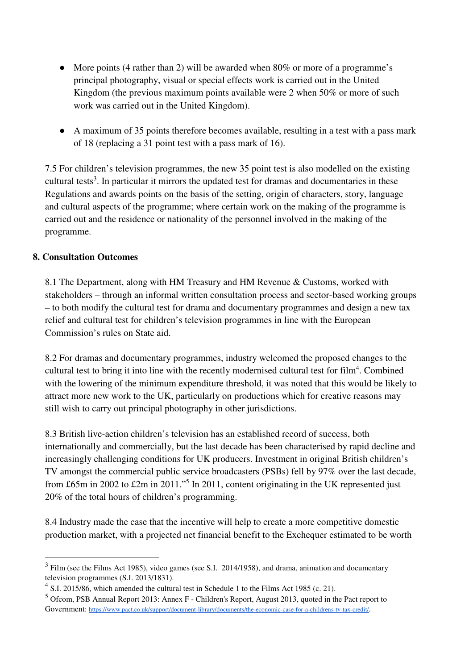- More points (4 rather than 2) will be awarded when 80% or more of a programme's principal photography, visual or special effects work is carried out in the United Kingdom (the previous maximum points available were 2 when 50% or more of such work was carried out in the United Kingdom).
- A maximum of 35 points therefore becomes available, resulting in a test with a pass mark of 18 (replacing a 31 point test with a pass mark of 16).

7.5 For children's television programmes, the new 35 point test is also modelled on the existing cultural tests<sup>3</sup>. In particular it mirrors the updated test for dramas and documentaries in these Regulations and awards points on the basis of the setting, origin of characters, story, language and cultural aspects of the programme; where certain work on the making of the programme is carried out and the residence or nationality of the personnel involved in the making of the programme.

### **8. Consultation Outcomes**

 $\overline{\phantom{0}}$ 

8.1 The Department, along with HM Treasury and HM Revenue & Customs, worked with stakeholders – through an informal written consultation process and sector-based working groups – to both modify the cultural test for drama and documentary programmes and design a new tax relief and cultural test for children's television programmes in line with the European Commission's rules on State aid.

8.2 For dramas and documentary programmes, industry welcomed the proposed changes to the cultural test to bring it into line with the recently modernised cultural test for film<sup>4</sup>. Combined with the lowering of the minimum expenditure threshold, it was noted that this would be likely to attract more new work to the UK, particularly on productions which for creative reasons may still wish to carry out principal photography in other jurisdictions.

8.3 British live-action children's television has an established record of success, both internationally and commercially, but the last decade has been characterised by rapid decline and increasingly challenging conditions for UK producers. Investment in original British children's TV amongst the commercial public service broadcasters (PSBs) fell by 97% over the last decade, from £65m in 2002 to £2m in 2011."<sup>5</sup> In 2011, content originating in the UK represented just 20% of the total hours of children's programming.

8.4 Industry made the case that the incentive will help to create a more competitive domestic production market, with a projected net financial benefit to the Exchequer estimated to be worth

 $3$  Film (see the Films Act 1985), video games (see S.I. 2014/1958), and drama, animation and documentary television programmes (S.I. 2013/1831).

 $<sup>4</sup>$  S.I. 2015/86, which amended the cultural test in Schedule 1 to the Films Act 1985 (c. 21).</sup>

<sup>&</sup>lt;sup>5</sup> Ofcom, PSB Annual Report 2013: Annex F - Children's Report, August 2013, quoted in the Pact report to Government: https://www.pact.co.uk/support/document-library/documents/the-economic-case-for-a-childrens-tv-tax-credit/.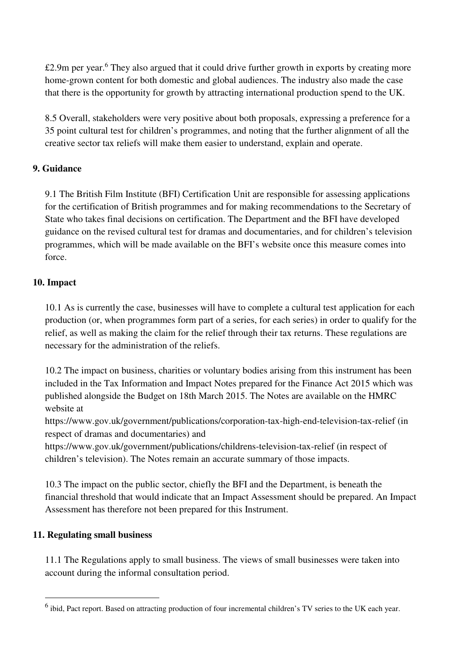£2.9m per year.<sup>6</sup> They also argued that it could drive further growth in exports by creating more home-grown content for both domestic and global audiences. The industry also made the case that there is the opportunity for growth by attracting international production spend to the UK.

8.5 Overall, stakeholders were very positive about both proposals, expressing a preference for a 35 point cultural test for children's programmes, and noting that the further alignment of all the creative sector tax reliefs will make them easier to understand, explain and operate.

## **9. Guidance**

9.1 The British Film Institute (BFI) Certification Unit are responsible for assessing applications for the certification of British programmes and for making recommendations to the Secretary of State who takes final decisions on certification. The Department and the BFI have developed guidance on the revised cultural test for dramas and documentaries, and for children's television programmes, which will be made available on the BFI's website once this measure comes into force.

## **10. Impact**

10.1 As is currently the case, businesses will have to complete a cultural test application for each production (or, when programmes form part of a series, for each series) in order to qualify for the relief, as well as making the claim for the relief through their tax returns. These regulations are necessary for the administration of the reliefs.

10.2 The impact on business, charities or voluntary bodies arising from this instrument has been included in the Tax Information and Impact Notes prepared for the Finance Act 2015 which was published alongside the Budget on 18th March 2015. The Notes are available on the HMRC website at

https://www.gov.uk/government/publications/corporation-tax-high-end-television-tax-relief (in respect of dramas and documentaries) and

https://www.gov.uk/government/publications/childrens-television-tax-relief (in respect of children's television). The Notes remain an accurate summary of those impacts.

10.3 The impact on the public sector, chiefly the BFI and the Department, is beneath the financial threshold that would indicate that an Impact Assessment should be prepared. An Impact Assessment has therefore not been prepared for this Instrument.

## **11. Regulating small business**

 $\overline{\phantom{0}}$ 

11.1 The Regulations apply to small business. The views of small businesses were taken into account during the informal consultation period.

 $<sup>6</sup>$  ibid, Pact report. Based on attracting production of four incremental children's TV series to the UK each year.</sup>